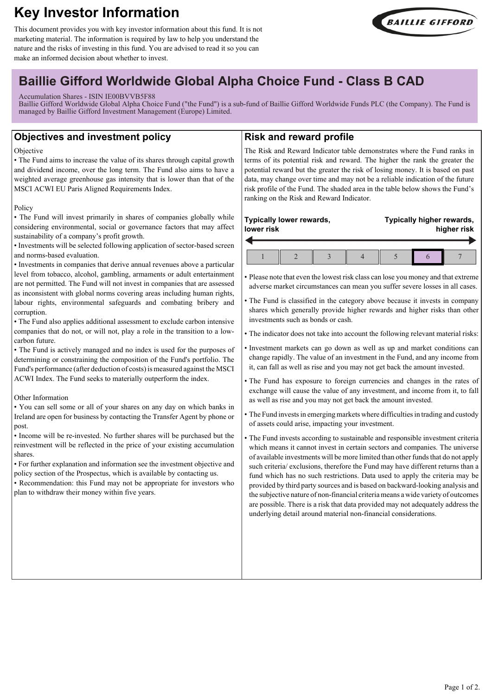# **Key Investor Information**

This document provides you with key investor information about this fund. It is not marketing material. The information is required by law to help you understand the nature and the risks of investing in this fund. You are advised to read it so you can make an informed decision about whether to invest.



## **Baillie Gifford Worldwide Global Alpha Choice Fund - Class B CAD**

#### Accumulation Shares - ISIN IE00BVVB5F88

Baillie Gifford Worldwide Global Alpha Choice Fund ("the Fund") is a sub-fund of Baillie Gifford Worldwide Funds PLC (the Company). The Fund is managed by Baillie Gifford Investment Management (Europe) Limited.

## **Objectives and investment policy**

#### **Objective**

• The Fund aims to increase the value of its shares through capital growth and dividend income, over the long term. The Fund also aims to have a weighted average greenhouse gas intensity that is lower than that of the MSCI ACWI EU Paris Aligned Requirements Index.

#### Policy

• The Fund will invest primarily in shares of companies globally while considering environmental, social or governance factors that may affect sustainability of a company's profit growth.

• Investments will be selected following application of sector-based screen and norms-based evaluation.

• Investments in companies that derive annual revenues above a particular level from tobacco, alcohol, gambling, armaments or adult entertainment are not permitted. The Fund will not invest in companies that are assessed as inconsistent with global norms covering areas including human rights, labour rights, environmental safeguards and combating bribery and corruption.

• The Fund also applies additional assessment to exclude carbon intensive companies that do not, or will not, play a role in the transition to a lowcarbon future.

• The Fund is actively managed and no index is used for the purposes of determining or constraining the composition of the Fund's portfolio. The Fund's performance (after deduction of costs) is measured against the MSCI ACWI Index. The Fund seeks to materially outperform the index.

#### Other Information

• You can sell some or all of your shares on any day on which banks in Ireland are open for business by contacting the Transfer Agent by phone or post.

• Income will be re-invested. No further shares will be purchased but the reinvestment will be reflected in the price of your existing accumulation shares.

• For further explanation and information see the investment objective and policy section of the Prospectus, which is available by contacting us.

• Recommendation: this Fund may not be appropriate for investors who plan to withdraw their money within five years.

## **Risk and reward profile**

The Risk and Reward Indicator table demonstrates where the Fund ranks in terms of its potential risk and reward. The higher the rank the greater the potential reward but the greater the risk of losing money. It is based on past data, may change over time and may not be a reliable indication of the future risk profile of the Fund. The shaded area in the table below shows the Fund's ranking on the Risk and Reward Indicator.

#### **Typically lower rewards, lower risk**  $\overline{\phantom{a}}$

**Typically higher rewards, higher risk**

• Please note that even the lowest risk class can lose you money and that extreme adverse market circumstances can mean you suffer severe losses in all cases.

• The Fund is classified in the category above because it invests in company shares which generally provide higher rewards and higher risks than other investments such as bonds or cash.

• The indicator does not take into account the following relevant material risks:

- Investment markets can go down as well as up and market conditions can change rapidly. The value of an investment in the Fund, and any income from it, can fall as well as rise and you may not get back the amount invested.
- The Fund has exposure to foreign currencies and changes in the rates of exchange will cause the value of any investment, and income from it, to fall as well as rise and you may not get back the amount invested.
- The Fund invests in emerging markets where difficulties in trading and custody of assets could arise, impacting your investment.

• The Fund invests according to sustainable and responsible investment criteria which means it cannot invest in certain sectors and companies. The universe of available investments will be more limited than other funds that do not apply such criteria/ exclusions, therefore the Fund may have different returns than a fund which has no such restrictions. Data used to apply the criteria may be provided by third party sources and is based on backward-looking analysis and the subjective nature of non-financial criteria means a wide variety of outcomes are possible. There is a risk that data provided may not adequately address the underlying detail around material non-financial considerations.